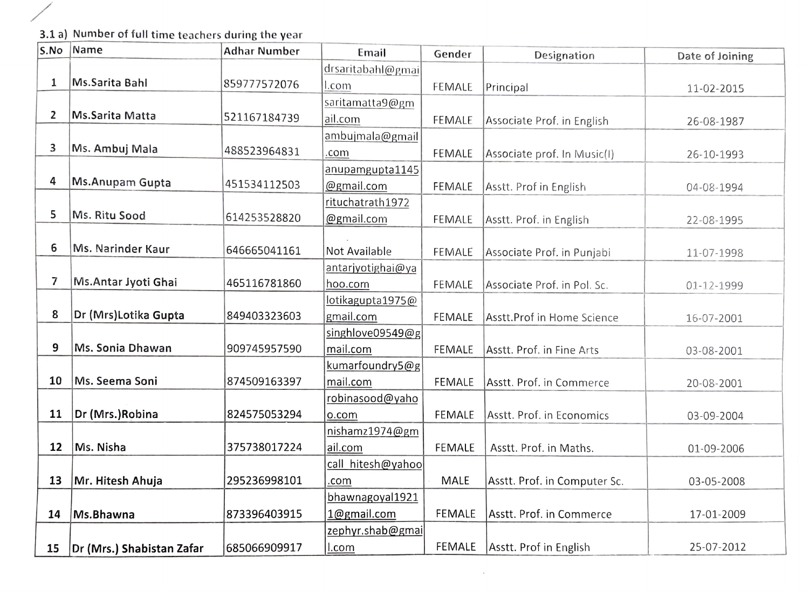$3.1 a)$  Number of full time teachers during the year

|    | S.No  Name                | <b>Adhar Number</b> | Email             | Gender        | Designation                  | Date of Joining |
|----|---------------------------|---------------------|-------------------|---------------|------------------------------|-----------------|
|    |                           |                     | drsaritabahl@gmai |               |                              |                 |
| 1  | Ms.Sarita Bahl            | 859777572076        | l.com             | FEMALE        | Principal                    | 11-02-2015      |
|    |                           |                     | saritamatta9@gm   |               |                              |                 |
| 2  | Ms.Sarita Matta           | 521167184739        | ail.com           | FEMALE        | Associate Prof. in English   | 26-08-1987      |
|    |                           |                     | ambujmala@gmail   |               |                              |                 |
| 3  | Ms. Ambuj Mala            | 488523964831        | .com              | FEMALE        | Associate prof. In Music(I)  | 26-10-1993      |
|    |                           |                     | anupamgupta1145   |               |                              |                 |
| 4  | Ms.Anupam Gupta           | 451534112503        | @gmail.com        | FEMALE        | Asstt. Prof in English       | 04-08-1994      |
|    |                           |                     | rituchatrath1972  |               |                              |                 |
| 5  | Ms. Ritu Sood             | 614253528820        | @gmail.com        | <b>FEMALE</b> | Asstt. Prof. in English      | 22-08-1995      |
|    |                           |                     |                   |               |                              |                 |
| 6  | Ms. Narinder Kaur         | 646665041161        | Not Available     | FEMALE        | Associate Prof. in Punjabi   | 11-07-1998      |
|    |                           |                     | antarjyotighai@ya |               |                              |                 |
| 7  | Ms.Antar Jyoti Ghai       | 465116781860        | hoo.com           | FEMALE        | Associate Prof. in Pol. Sc.  | 01-12-1999      |
|    |                           |                     | lotikagupta1975@  |               |                              |                 |
| 8  | Dr (Mrs)Lotika Gupta      | 849403323603        | gmail.com         | FEMALE        | Asstt.Prof in Home Science   | 16-07-2001      |
|    |                           |                     | singhlove09549@g  |               |                              |                 |
| 9  | Ms. Sonia Dhawan          | 909745957590        | mail.com          | <b>FEMALE</b> | Asstt. Prof. in Fine Arts    | 03-08-2001      |
|    |                           |                     | kumarfoundry5@g   |               |                              |                 |
| 10 | Ms. Seema Soni            | 874509163397        | mail.com          | <b>FEMALE</b> | Asstt. Prof. in Commerce     | 20-08-2001      |
|    |                           |                     | robinasood@yaho   |               |                              |                 |
| 11 | Dr (Mrs.)Robina           | 824575053294        | o.com             | FEMALE        | Asstt. Prof. in Economics    | 03-09-2004      |
|    |                           |                     | nishamz1974@gm    |               |                              |                 |
| 12 | Ms. Nisha                 | 375738017224        | ail.com           | <b>FEMALE</b> | Asstt. Prof. in Maths.       | 01-09-2006      |
|    |                           |                     | call hitesh@yahoo |               |                              |                 |
| 13 | Mr. Hitesh Ahuja          | 295236998101        | .com              | MALE          | Asstt. Prof. in Computer Sc. | 03-05-2008      |
|    |                           |                     | bhawnagoyal1921   |               |                              |                 |
| 14 | Ms.Bhawna                 | 873396403915        | 1@gmail.com       | FEMALE        | Asstt. Prof. in Commerce     | 17-01-2009      |
|    |                           |                     | zephyr.shab@gmai  |               |                              |                 |
| 15 | Dr (Mrs.) Shabistan Zafar | 685066909917        | l.com             | <b>FEMALE</b> | Asstt. Prof in English       | 25-07-2012      |

 $\mathcal{A}^{\mathcal{A}}$  and